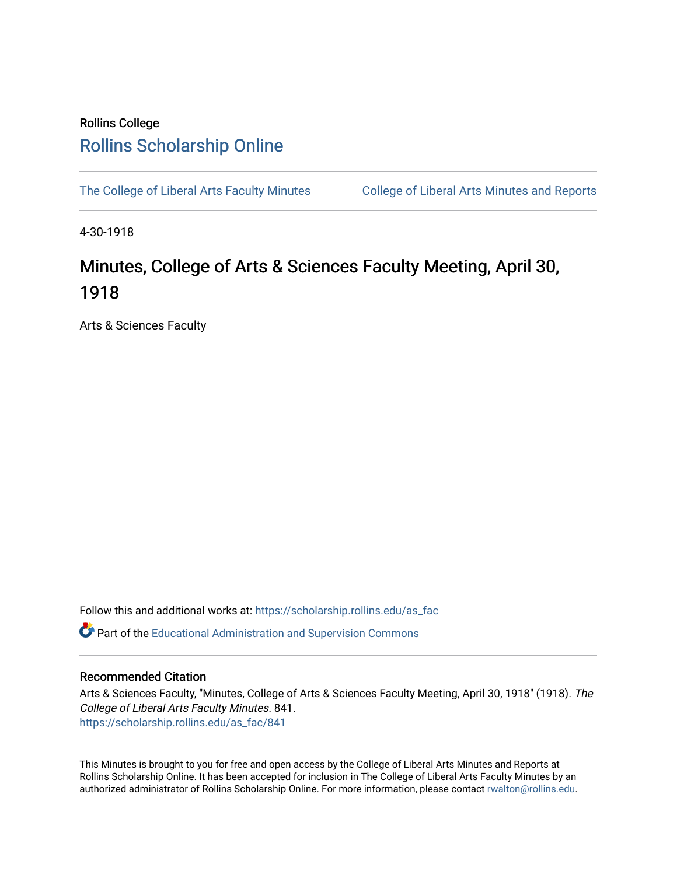## Rollins College [Rollins Scholarship Online](https://scholarship.rollins.edu/)

[The College of Liberal Arts Faculty Minutes](https://scholarship.rollins.edu/as_fac) College of Liberal Arts Minutes and Reports

4-30-1918

## Minutes, College of Arts & Sciences Faculty Meeting, April 30, 1918

Arts & Sciences Faculty

Follow this and additional works at: [https://scholarship.rollins.edu/as\\_fac](https://scholarship.rollins.edu/as_fac?utm_source=scholarship.rollins.edu%2Fas_fac%2F841&utm_medium=PDF&utm_campaign=PDFCoverPages) 

**P** Part of the [Educational Administration and Supervision Commons](http://network.bepress.com/hgg/discipline/787?utm_source=scholarship.rollins.edu%2Fas_fac%2F841&utm_medium=PDF&utm_campaign=PDFCoverPages)

## Recommended Citation

Arts & Sciences Faculty, "Minutes, College of Arts & Sciences Faculty Meeting, April 30, 1918" (1918). The College of Liberal Arts Faculty Minutes. 841. [https://scholarship.rollins.edu/as\\_fac/841](https://scholarship.rollins.edu/as_fac/841?utm_source=scholarship.rollins.edu%2Fas_fac%2F841&utm_medium=PDF&utm_campaign=PDFCoverPages) 

This Minutes is brought to you for free and open access by the College of Liberal Arts Minutes and Reports at Rollins Scholarship Online. It has been accepted for inclusion in The College of Liberal Arts Faculty Minutes by an authorized administrator of Rollins Scholarship Online. For more information, please contact [rwalton@rollins.edu](mailto:rwalton@rollins.edu).